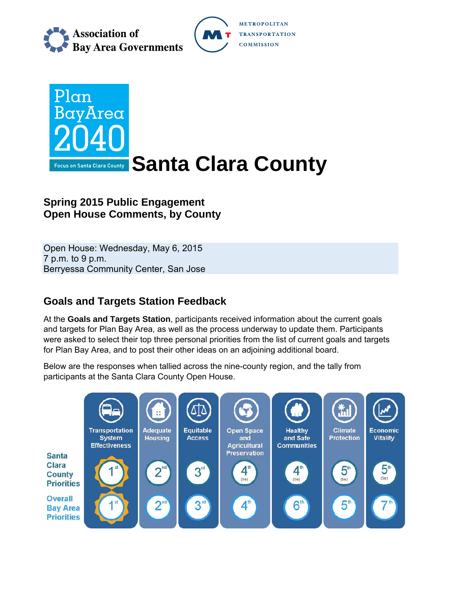

**METROPOLITAN TRANSPORTATION COMMISSION** 



# **Spring 2015 Public Engagement Open House Comments, by County**

Open House: Wednesday, May 6, 2015 7 p.m. to 9 p.m. Berryessa Community Center, San Jose

# **Goals and Targets Station Feedback**

At the **Goals and Targets Station**, participants received information about the current goals and targets for Plan Bay Area, as well as the process underway to update them. Participants were asked to select their top three personal priorities from the list of current goals and targets for Plan Bay Area, and to post their other ideas on an adjoining additional board.

Below are the responses when tallied across the nine-county region, and the tally from participants at the Santa Clara County Open House.

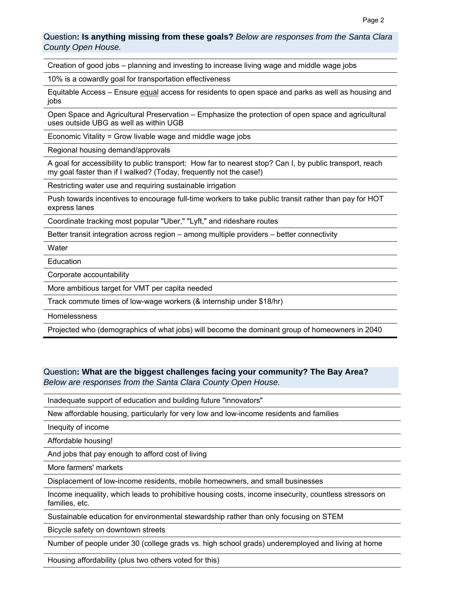#### Question**: Is anything missing from these goals?** *Below are responses from the Santa Clara County Open House.*

Creation of good jobs – planning and investing to increase living wage and middle wage jobs

10% is a cowardly goal for transportation effectiveness

Equitable Access – Ensure equal access for residents to open space and parks as well as housing and jobs

Open Space and Agricultural Preservation – Emphasize the protection of open space and agricultural uses outside UBG as well as within UGB

Economic Vitality = Grow livable wage and middle wage jobs

Regional housing demand/approvals

A goal for accessibility to public transport: How far to nearest stop? Can I, by public transport, reach my goal faster than if I walked? (Today, frequently not the case!)

Restricting water use and requiring sustainable irrigation

Push towards incentives to encourage full-time workers to take public transit rather than pay for HOT express lanes

Coordinate tracking most popular "Uber," "Lyft," and rideshare routes

Better transit integration across region – among multiple providers – better connectivity

**Water** 

**Education** 

Corporate accountability

More ambitious target for VMT per capita needed

Track commute times of low-wage workers (& internship under \$18/hr)

Homelessness

Projected who (demographics of what jobs) will become the dominant group of homeowners in 2040

Question**: What are the biggest challenges facing your community? The Bay Area?**  *Below are responses from the Santa Clara County Open House.*

Inadequate support of education and building future "innovators"

New affordable housing, particularly for very low and low-income residents and families

Inequity of income

Affordable housing!

And jobs that pay enough to afford cost of living

More farmers' markets

Displacement of low-income residents, mobile homeowners, and small businesses

Income inequality, which leads to prohibitive housing costs, income insecurity, countless stressors on families, etc.

Sustainable education for environmental stewardship rather than only focusing on STEM

Bicycle safety on downtown streets

Number of people under 30 (college grads vs. high school grads) underemployed and living at home

Housing affordability (plus two others voted for this)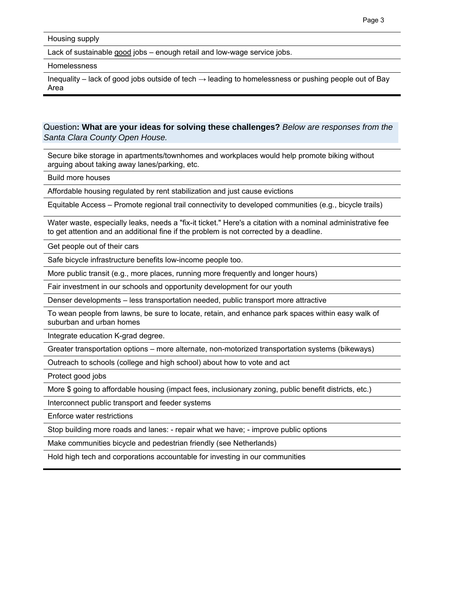Housing supply

Lack of sustainable good jobs – enough retail and low-wage service jobs.

Homelessness

Inequality – lack of good jobs outside of tech  $\rightarrow$  leading to homelessness or pushing people out of Bay Area

Question**: What are your ideas for solving these challenges?** *Below are responses from the Santa Clara County Open House.* 

Secure bike storage in apartments/townhomes and workplaces would help promote biking without arguing about taking away lanes/parking, etc.

Build more houses

Affordable housing regulated by rent stabilization and just cause evictions

Equitable Access – Promote regional trail connectivity to developed communities (e.g., bicycle trails)

Water waste, especially leaks, needs a "fix-it ticket." Here's a citation with a nominal administrative fee to get attention and an additional fine if the problem is not corrected by a deadline.

Get people out of their cars

Safe bicycle infrastructure benefits low-income people too.

More public transit (e.g., more places, running more frequently and longer hours)

Fair investment in our schools and opportunity development for our youth

Denser developments – less transportation needed, public transport more attractive

To wean people from lawns, be sure to locate, retain, and enhance park spaces within easy walk of suburban and urban homes

Integrate education K-grad degree.

Greater transportation options – more alternate, non-motorized transportation systems (bikeways)

Outreach to schools (college and high school) about how to vote and act

Protect good jobs

More \$ going to affordable housing (impact fees, inclusionary zoning, public benefit districts, etc.)

Interconnect public transport and feeder systems

Enforce water restrictions

Stop building more roads and lanes: - repair what we have; - improve public options

Make communities bicycle and pedestrian friendly (see Netherlands)

Hold high tech and corporations accountable for investing in our communities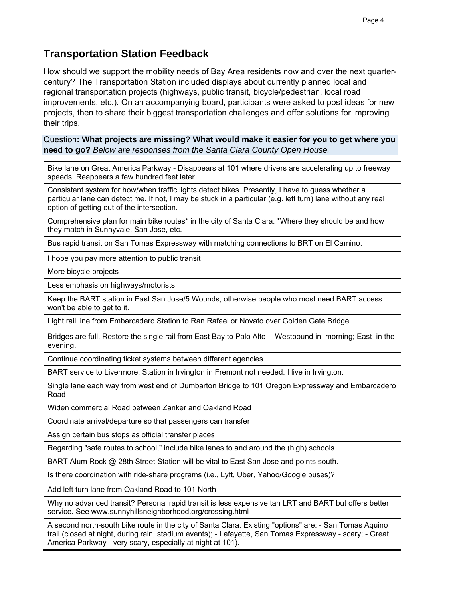## **Transportation Station Feedback**

How should we support the mobility needs of Bay Area residents now and over the next quartercentury? The Transportation Station included displays about currently planned local and regional transportation projects (highways, public transit, bicycle/pedestrian, local road improvements, etc.). On an accompanying board, participants were asked to post ideas for new projects, then to share their biggest transportation challenges and offer solutions for improving their trips.

Question**: What projects are missing? What would make it easier for you to get where you need to go?** *Below are responses from the Santa Clara County Open House.*

Bike lane on Great America Parkway - Disappears at 101 where drivers are accelerating up to freeway speeds. Reappears a few hundred feet later.

Consistent system for how/when traffic lights detect bikes. Presently, I have to guess whether a particular lane can detect me. If not, I may be stuck in a particular (e.g. left turn) lane without any real option of getting out of the intersection.

Comprehensive plan for main bike routes\* in the city of Santa Clara. \*Where they should be and how they match in Sunnyvale, San Jose, etc.

Bus rapid transit on San Tomas Expressway with matching connections to BRT on El Camino.

I hope you pay more attention to public transit

More bicycle projects

Less emphasis on highways/motorists

Keep the BART station in East San Jose/5 Wounds, otherwise people who most need BART access won't be able to get to it.

Light rail line from Embarcadero Station to Ran Rafael or Novato over Golden Gate Bridge.

Bridges are full. Restore the single rail from East Bay to Palo Alto -- Westbound in morning; East in the evening.

Continue coordinating ticket systems between different agencies

BART service to Livermore. Station in Irvington in Fremont not needed. I live in Irvington.

Single lane each way from west end of Dumbarton Bridge to 101 Oregon Expressway and Embarcadero Road

Widen commercial Road between Zanker and Oakland Road

Coordinate arrival/departure so that passengers can transfer

Assign certain bus stops as official transfer places

Regarding "safe routes to school," include bike lanes to and around the (high) schools.

BART Alum Rock @ 28th Street Station will be vital to East San Jose and points south.

Is there coordination with ride-share programs (i.e., Lyft, Uber, Yahoo/Google buses)?

Add left turn lane from Oakland Road to 101 North

Why no advanced transit? Personal rapid transit is less expensive tan LRT and BART but offers better service. See www.sunnyhillsneighborhood.org/crossing.html

A second north-south bike route in the city of Santa Clara. Existing "options" are: - San Tomas Aquino trail (closed at night, during rain, stadium events); - Lafayette, San Tomas Expressway - scary; - Great America Parkway - very scary, especially at night at 101).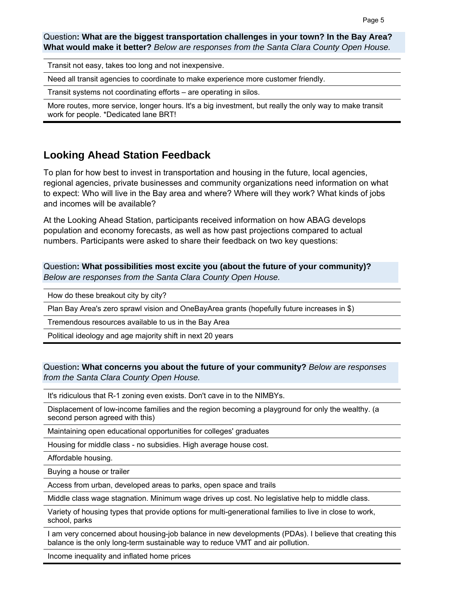Question**: What are the biggest transportation challenges in your town? In the Bay Area? What would make it better?** *Below are responses from the Santa Clara County Open House.* 

Transit not easy, takes too long and not inexpensive.

Need all transit agencies to coordinate to make experience more customer friendly.

Transit systems not coordinating efforts – are operating in silos.

More routes, more service, longer hours. It's a big investment, but really the only way to make transit work for people. \*Dedicated lane BRT!

## **Looking Ahead Station Feedback**

To plan for how best to invest in transportation and housing in the future, local agencies, regional agencies, private businesses and community organizations need information on what to expect: Who will live in the Bay area and where? Where will they work? What kinds of jobs and incomes will be available?

At the Looking Ahead Station, participants received information on how ABAG develops population and economy forecasts, as well as how past projections compared to actual numbers. Participants were asked to share their feedback on two key questions:

Question**: What possibilities most excite you (about the future of your community)?**  *Below are responses from the Santa Clara County Open House.* 

How do these breakout city by city?

Plan Bay Area's zero sprawl vision and OneBayArea grants (hopefully future increases in \$)

Tremendous resources available to us in the Bay Area

Political ideology and age majority shift in next 20 years

### Question**: What concerns you about the future of your community?** *Below are responses from the Santa Clara County Open House.*

It's ridiculous that R-1 zoning even exists. Don't cave in to the NIMBYs.

Displacement of low-income families and the region becoming a playground for only the wealthy. (a second person agreed with this)

Maintaining open educational opportunities for colleges' graduates

Housing for middle class - no subsidies. High average house cost.

Affordable housing.

Buying a house or trailer

Access from urban, developed areas to parks, open space and trails

Middle class wage stagnation. Minimum wage drives up cost. No legislative help to middle class.

Variety of housing types that provide options for multi-generational families to live in close to work, school, parks

I am very concerned about housing-job balance in new developments (PDAs). I believe that creating this balance is the only long-term sustainable way to reduce VMT and air pollution.

Income inequality and inflated home prices